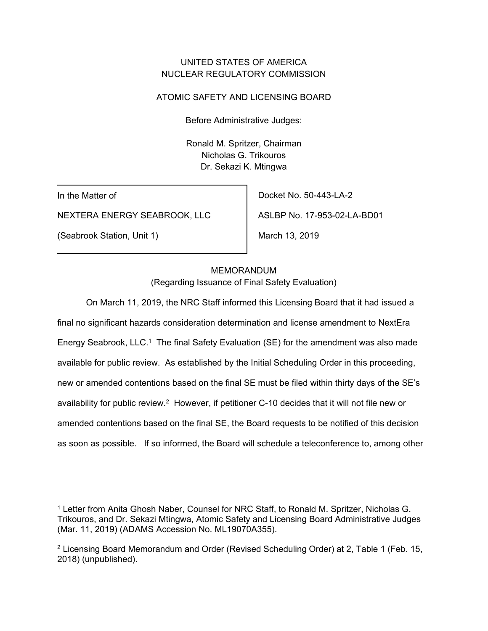## UNITED STATES OF AMERICA NUCLEAR REGULATORY COMMISSION

## ATOMIC SAFETY AND LICENSING BOARD

Before Administrative Judges:

Ronald M. Spritzer, Chairman Nicholas G. Trikouros Dr. Sekazi K. Mtingwa

In the Matter of

NEXTERA ENERGY SEABROOK, LLC

(Seabrook Station, Unit 1)

Docket No. 50-443-LA-2

ASLBP No. 17-953-02-LA-BD01

March 13, 2019

### MEMORANDUM

(Regarding Issuance of Final Safety Evaluation)

On March 11, 2019, the NRC Staff informed this Licensing Board that it had issued a final no significant hazards consideration determination and license amendment to NextEra Energy Seabrook, LLC.<sup>1</sup> The final Safety Evaluation (SE) for the amendment was also made available for public review. As established by the Initial Scheduling Order in this proceeding, new or amended contentions based on the final SE must be filed within thirty days of the SE's availability for public review.<sup>2</sup> However, if petitioner C-10 decides that it will not file new or amended contentions based on the final SE, the Board requests to be notified of this decision as soon as possible. If so informed, the Board will schedule a teleconference to, among other

<sup>-</sup>1 Letter from Anita Ghosh Naber, Counsel for NRC Staff, to Ronald M. Spritzer, Nicholas G. Trikouros, and Dr. Sekazi Mtingwa, Atomic Safety and Licensing Board Administrative Judges (Mar. 11, 2019) (ADAMS Accession No. ML19070A355).

<sup>2</sup> Licensing Board Memorandum and Order (Revised Scheduling Order) at 2, Table 1 (Feb. 15, 2018) (unpublished).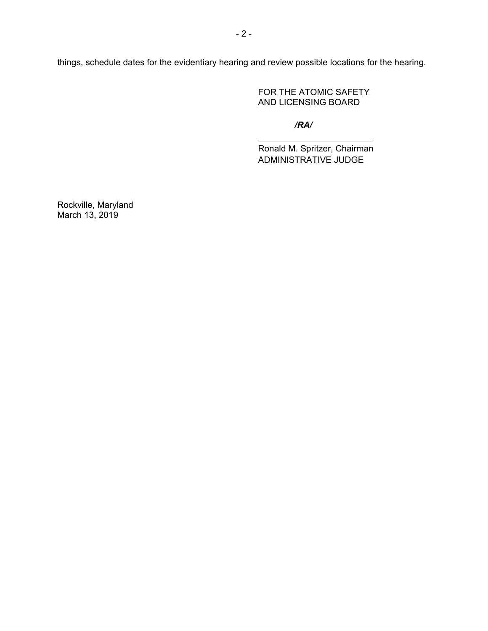things, schedule dates for the evidentiary hearing and review possible locations for the hearing.

FOR THE ATOMIC SAFETY AND LICENSING BOARD

*/RA/*

Ronald M. Spritzer, Chairman ADMINISTRATIVE JUDGE

Rockville, Maryland March 13, 2019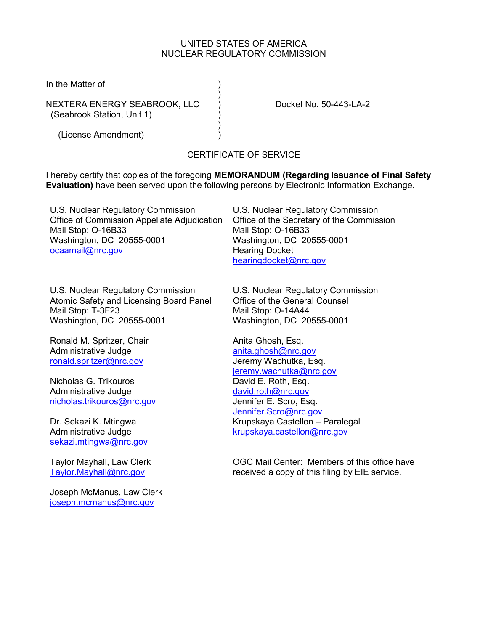#### UNITED STATES OF AMERICA NUCLEAR REGULATORY COMMISSION

In the Matter of )

NEXTERA ENERGY SEABROOK, LLC ) Docket No. 50-443-LA-2 (Seabrook Station, Unit 1) )

 $)$ 

 $)$ (License Amendment) )

# CERTIFICATE OF SERVICE

I hereby certify that copies of the foregoing **MEMORANDUM (Regarding Issuance of Final Safety Evaluation)** have been served upon the following persons by Electronic Information Exchange.

U.S. Nuclear Regulatory Commission Office of Commission Appellate Adjudication Mail Stop: O-16B33 Washington, DC 20555-0001 [ocaamail@nrc.gov](mailto:ocaamail@nrc.gov)

U.S. Nuclear Regulatory Commission Office of the Secretary of the Commission Mail Stop: O-16B33 Washington, DC 20555-0001 Hearing Docket [hearingdocket@nrc.gov](mailto:hearingdocket@nrc.gov)

U.S. Nuclear Regulatory Commission Atomic Safety and Licensing Board Panel Mail Stop: T-3F23 Washington, DC 20555-0001

Ronald M. Spritzer, Chair Administrative Judge [ronald.spritzer@nrc.gov](mailto:ronald.spritzer@nrc.gov) 

Nicholas G. Trikouros Administrative Judge [nicholas.trikouros@nrc.gov](mailto:nicholas.trikouros@nrc.gov) 

Dr. Sekazi K. Mtingwa Administrative Judge [sekazi.mtingwa@nrc.gov](mailto:sekazi.mtingwa@nrc.gov) 

Taylor Mayhall, Law Clerk [Taylor.Mayhall@nrc.gov](mailto:Taylor.Mayhall@nrc.gov) 

Joseph McManus, Law Clerk [joseph.mcmanus@nrc.gov](mailto:joseph.mcmanus@nrc.gov) 

U.S. Nuclear Regulatory Commission Office of the General Counsel Mail Stop: O-14A44 Washington, DC 20555-0001

Anita Ghosh, Esq. [anita.ghosh@nrc.gov](mailto:anita.ghosh@nrc.gov) Jeremy Wachutka, Esq. [jeremy.wachutka@nrc.gov](mailto:jeremy.wachutka@nrc.gov) David E. Roth, Esq. [david.roth@nrc.gov](mailto:david.roth@nrc.gov)  Jennifer E. Scro, Esq. [Jennifer.Scro@nrc.gov](mailto:Jennifer.Scro@nrc.gov) Krupskaya Castellon – Paralegal [krupskaya.castellon@nrc.gov](mailto:krupskaya.castellon@nrc.gov) 

OGC Mail Center: Members of this office have received a copy of this filing by EIE service.